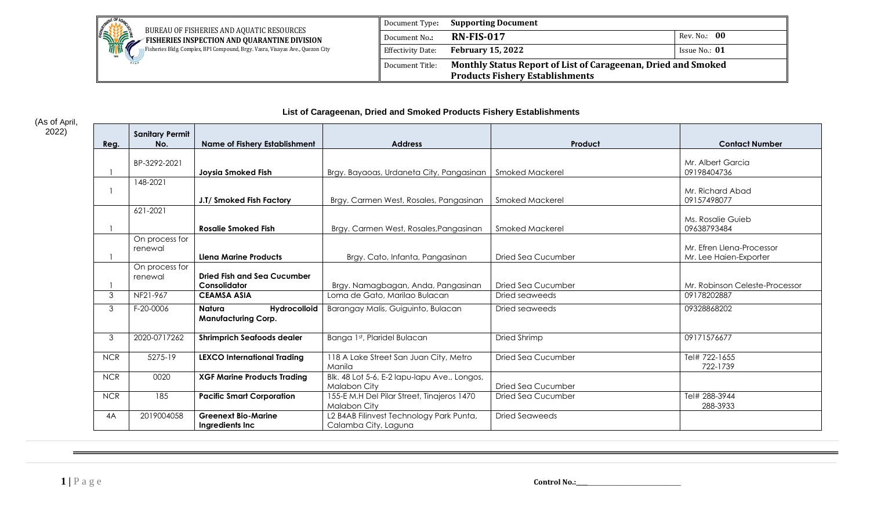

| Document Type:           | <b>Supporting Document</b>                                                                              |                 |
|--------------------------|---------------------------------------------------------------------------------------------------------|-----------------|
| Document No.:            | <b>RN-FIS-017</b>                                                                                       | Rev. No.: 00    |
| <b>Effectivity Date:</b> | <b>February 15, 2022</b>                                                                                | Issue No.: $01$ |
| Document Title:          | Monthly Status Report of List of Carageenan, Dried and Smoked<br><b>Products Fishery Establishments</b> |                 |

## **List of Carageenan, Dried and Smoked Products Fishery Establishments**

| Reg.           | <b>Sanitary Permit</b><br>No. | <b>Name of Fishery Establishment</b>                 | <b>Address</b>                                                    | Product                   | <b>Contact Number</b>                               |
|----------------|-------------------------------|------------------------------------------------------|-------------------------------------------------------------------|---------------------------|-----------------------------------------------------|
|                | BP-3292-2021                  | <b>Jovsia Smoked Fish</b>                            | Brgy. Bayaoas, Urdaneta City, Pangasinan                          | Smoked Mackerel           | Mr. Albert Garcia<br>09198404736                    |
|                | 148-2021                      | J.T/ Smoked Fish Factory                             | Brgy. Carmen West, Rosales, Pangasinan                            | Smoked Mackerel           | Mr. Richard Abad<br>09157498077                     |
|                | 621-2021                      | <b>Rosalie Smoked Fish</b>                           | Brgy. Carmen West, Rosales, Pangasinan                            | <b>Smoked Mackerel</b>    | Ms. Rosalie Guieb<br>09638793484                    |
|                | On process for<br>renewal     | <b>Llena Marine Products</b>                         | Brgy. Cato, Infanta, Pangasinan                                   | <b>Dried Sea Cucumber</b> | Mr. Efren Llena-Processor<br>Mr. Lee Haien-Exporter |
|                | On process for<br>renewal     | <b>Dried Fish and Sea Cucumber</b><br>Consolidator   | Brgy. Namagbagan, Anda, Pangasinan                                | Dried Sea Cucumber        | Mr. Robinson Celeste-Processor                      |
| 3              | NF21-967                      | <b>CEAMSA ASIA</b>                                   | Loma de Gato, Marilao Bulacan                                     | Dried seaweeds            | 09178202887                                         |
| $\mathfrak{Z}$ | F-20-0006                     | Hydrocolloid<br>Natura<br><b>Manufacturing Corp.</b> | Barangay Malis, Guiguinto, Bulacan                                | Dried seaweeds            | 09328868202                                         |
| $\mathfrak{Z}$ | 2020-0717262                  | <b>Shrimprich Seafoods dealer</b>                    | Banga 1st, Plaridel Bulacan                                       | Dried Shrimp              | 09171576677                                         |
| <b>NCR</b>     | 5275-19                       | <b>LEXCO International Trading</b>                   | 118 A Lake Street San Juan City, Metro<br>Manila                  | Dried Sea Cucumber        | Tel# 722-1655<br>722-1739                           |
| <b>NCR</b>     | 0020                          | <b>XGF Marine Products Trading</b>                   | Blk. 48 Lot 5-6, E-2 lapu-lapu Ave., Longos,<br>Malabon City      | Dried Sea Cucumber        |                                                     |
| <b>NCR</b>     | 185                           | <b>Pacific Smart Corporation</b>                     | 155-E M.H Del Pilar Street, Tinajeros 1470<br><b>Malabon City</b> | Dried Sea Cucumber        | Tel# 288-3944<br>288-3933                           |
| 4A             | 2019004058                    | <b>Greenext Bio-Marine</b><br>Ingredients Inc        | L2 B4AB Filinvest Technology Park Punta,<br>Calamba City, Laguna  | <b>Dried Seaweeds</b>     |                                                     |

(As of April, 2022)

**1** | **P** a g e **control No.:\_\_\_\_\_\_\_\_\_\_\_\_\_\_\_\_\_\_\_\_\_\_\_**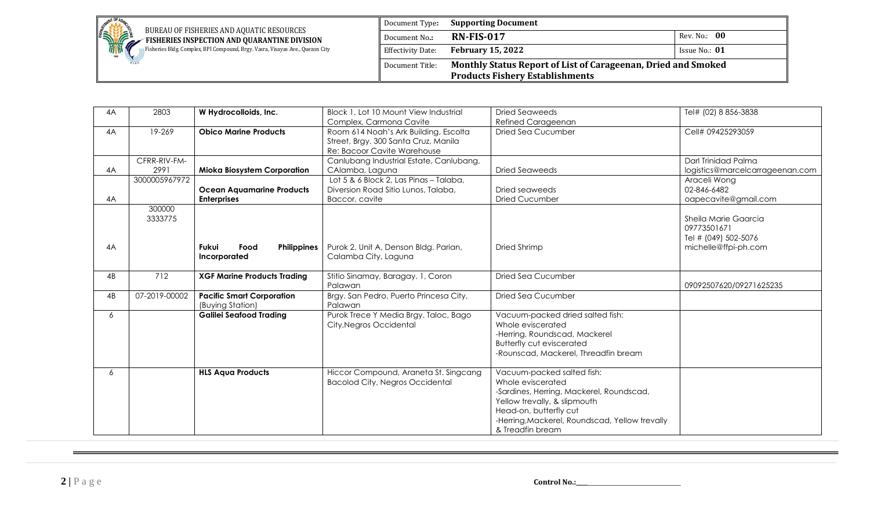

**BUREAU OF FISHERIES AND AQUATIC RESOURCES EXAMPLE FISHERIES INSPECTION AND QUARANTINE DIVISION** Fisheries Bldg. Complex, BPI Compound, Brgy. Vasra, Visayas Ave., Quezon City

| Document Type:           | <b>Supporting Document</b>                                                                              |                 |  |  |
|--------------------------|---------------------------------------------------------------------------------------------------------|-----------------|--|--|
| Document No.:            | <b>RN-FIS-017</b>                                                                                       | Rev. No.: 00    |  |  |
| <b>Effectivity Date:</b> | <b>February 15, 2022</b>                                                                                | Issue No.: $01$ |  |  |
| Document Title:          | Monthly Status Report of List of Carageenan, Dried and Smoked<br><b>Products Fishery Establishments</b> |                 |  |  |

| Block 1, Lot 10 Mount View Industrial<br>Dried Seaweeds<br>Tel# (02) 8 856-3838  |
|----------------------------------------------------------------------------------|
| Complex, Carmona Cavite<br><b>Refined Carageenan</b>                             |
| Room 614 Noah's Ark Building, Escolta<br>Cell# 09425293059<br>Dried Sea Cucumber |
| Street, Brgy. 300 Santa Cruz, Manila                                             |
| Re: Bacoor Cavite Warehouse                                                      |
| Canlubang Industrial Estate, Canlubang,<br>Darl Trinidad Palma                   |
| CAlamba, Laguna<br><b>Dried Seaweeds</b><br>logistics@marcelcarrageenan.com      |
| Lot 5 & 6 Block 2, Las Pinas - Talaba,<br>Araceli Wong                           |
| 02-846-6482<br>Diversion Road Sitio Lunos, Talaba,<br>Dried seaweeds             |
| Baccor, cavite<br>Dried Cucumber<br>oapecavite@gmail.com                         |
|                                                                                  |
| Sheila Marie Gaarcia                                                             |
| 09773501671                                                                      |
| Tel # (049) 502-5076                                                             |
| Purok 2, Unit A, Denson Bldg. Parian,<br>Dried Shrimp<br>michelle@ffpi-ph.com    |
| Calamba City, Laguna                                                             |
|                                                                                  |
| Stitio Sinamay, Baragay. 1, Coron<br><b>Dried Sea Cucumber</b>                   |
| 09092507620/09271625235                                                          |
| Brgy. San Pedro, Puerto Princesa City,<br><b>Dried Sea Cucumber</b>              |
|                                                                                  |
| Purok Trece Y Media Brgy. Taloc, Bago<br>Vacuum-packed dried salted fish:        |
| Whole eviscerated                                                                |
| City, Negros Occidental                                                          |
| -Herring, Roundscad, Mackerel                                                    |
| <b>Butterfly cut eviscerated</b>                                                 |
| -Rounscad, Mackerel, Threadfin bream                                             |
| Hiccor Compound, Araneta St. Singcang<br>Vacuum-packed salted fish:              |
| Whole eviscerated<br><b>Bacolod City, Negros Occidental</b>                      |
| -Sardines, Herring, Mackerel, Roundscad,                                         |
| Yellow trevally, & slipmouth                                                     |
| Head-on, butterfly cut                                                           |
|                                                                                  |
| -Herring, Mackerel, Roundscad, Yellow trevally                                   |
|                                                                                  |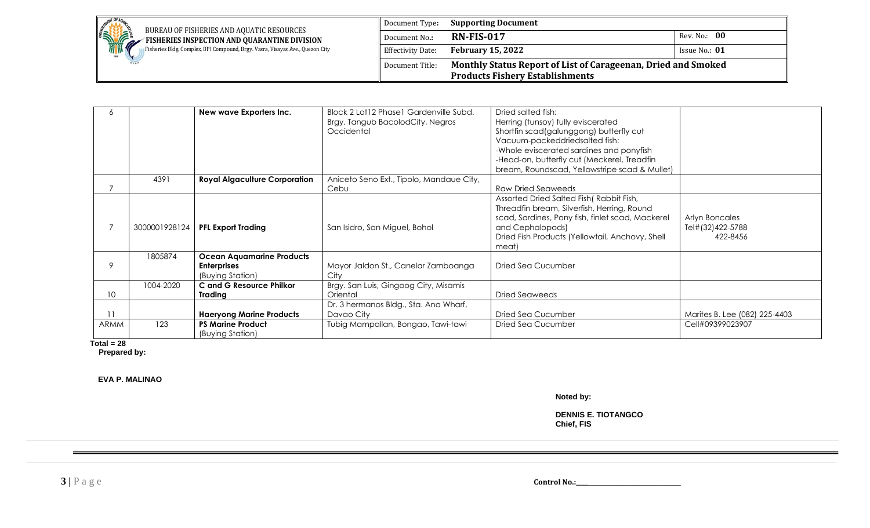

|      |               | New wave Exporters Inc.              | Block 2 Lot12 Phase1 Gardenville Subd.   | Dried salted fish:                               |                               |
|------|---------------|--------------------------------------|------------------------------------------|--------------------------------------------------|-------------------------------|
|      |               |                                      | Brgy. Tangub BacolodCity, Negros         | Herring (tunsoy) fully eviscerated               |                               |
|      |               |                                      | Occidental                               | Shortfin scad(galunggong) butterfly cut          |                               |
|      |               |                                      |                                          | Vacuum-packeddriedsalted fish:                   |                               |
|      |               |                                      |                                          | -Whole eviscerated sardines and ponyfish         |                               |
|      |               |                                      |                                          | -Head-on, butterfly cut (Meckerel, Treadfin      |                               |
|      |               |                                      |                                          | bream, Roundscad, Yellowstripe scad & Mullet)    |                               |
|      | 4391          | <b>Royal Algaculture Corporation</b> | Aniceto Seno Ext., Tipolo, Mandaue City, |                                                  |                               |
|      |               |                                      | Cebu                                     | <b>Raw Dried Seaweeds</b>                        |                               |
|      |               |                                      |                                          | Assorted Dried Salted Fish (Rabbit Fish,         |                               |
|      |               |                                      |                                          | Threadfin bream, Silverfish, Herring, Round      |                               |
|      |               |                                      |                                          | scad, Sardines, Pony fish, finlet scad, Mackerel | Arlyn Boncales                |
|      | 3000001928124 | <b>PFL Export Trading</b>            | San Isidro, San Miguel, Bohol            | and Cephalopods)                                 | Tel#(32)422-5788              |
|      |               |                                      |                                          | Dried Fish Products (Yellowtail, Anchovy, Shell  | 422-8456                      |
|      |               |                                      |                                          | meat)                                            |                               |
|      | 1805874       | <b>Ocean Aquamarine Products</b>     |                                          |                                                  |                               |
| 9    |               | <b>Enterprises</b>                   | Mayor Jaldon St., Canelar Zamboanga      | Dried Sea Cucumber                               |                               |
|      |               | (Buying Station)                     | City                                     |                                                  |                               |
|      | 1004-2020     | C and G Resource Philkor             | Brgy. San Luis, Gingoog City, Misamis    |                                                  |                               |
| 10   |               | Trading                              | Oriental                                 | Dried Seaweeds                                   |                               |
|      |               |                                      | Dr. 3 hermanos Bldg., Sta. Ana Wharf,    |                                                  |                               |
| 11   |               | <b>Haeryong Marine Products</b>      | Davao City                               | Dried Sea Cucumber                               | Marites B. Lee (082) 225-4403 |
| ARMM | 123           | <b>PS Marine Product</b>             | Tubig Mampallan, Bongao, Tawi-tawi       | Dried Sea Cucumber                               | Cell#09399023907              |
|      |               | (Buying Station)                     |                                          |                                                  |                               |

 **Total = 28**

 **Prepared by:**

 **EVA P. MALINAO**

**Noted by:**

**DENNIS E. TIOTANGCO Chief, FIS**

**3** | **P** a g e **control No.:\_\_\_\_\_\_\_\_\_\_\_\_\_\_\_\_\_\_\_\_\_\_\_**